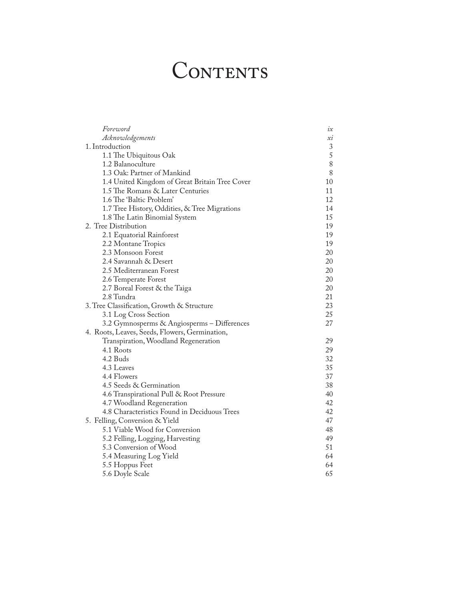## CONTENTS

| Foreword                                       | ix      |
|------------------------------------------------|---------|
| Acknowledgements                               | $x_{1}$ |
| 1. Introduction                                | 3       |
| 1.1 The Ubiquitous Oak                         | 5       |
| 1.2 Balanoculture                              | 8       |
| 1.3 Oak: Partner of Mankind                    | 8       |
| 1.4 United Kingdom of Great Britain Tree Cover | 10      |
| 1.5 The Romans & Later Centuries               | 11      |
| 1.6 The 'Baltic Problem'                       | 12      |
| 1.7 Tree History, Oddities, & Tree Migrations  | 14      |
| 1.8 The Latin Binomial System                  | 15      |
| 2. Tree Distribution                           | 19      |
| 2.1 Equatorial Rainforest                      | 19      |
| 2.2 Montane Tropics                            | 19      |
| 2.3 Monsoon Forest                             | 20      |
| 2.4 Savannah & Desert                          | 20      |
| 2.5 Mediterranean Forest                       | 20      |
| 2.6 Temperate Forest                           | 20      |
| 2.7 Boreal Forest & the Taiga                  | 20      |
| 2.8 Tundra                                     | 21      |
| 3. Tree Classification, Growth & Structure     | 23      |
| 3.1 Log Cross Section                          | 25      |
| 3.2 Gymnosperms & Angiosperms – Differences    | 27      |
| 4. Roots, Leaves, Seeds, Flowers, Germination, |         |
| Transpiration, Woodland Regeneration           | 29      |
| 4.1 Roots                                      | 29      |
| 4.2 Buds                                       | 32      |
| 4.3 Leaves                                     | 35      |
| 4.4 Flowers                                    | 37      |
| 4.5 Seeds & Germination                        | 38      |
| 4.6 Transpirational Pull & Root Pressure       | 40      |
| 4.7 Woodland Regeneration                      | 42      |
| 4.8 Characteristics Found in Deciduous Trees   | 42      |
| 5. Felling, Conversion & Yield                 | 47      |
| 5.1 Viable Wood for Conversion                 | 48      |
| 5.2 Felling, Logging, Harvesting               | 49      |
| 5.3 Conversion of Wood                         | 51      |
| 5.4 Measuring Log Yield                        | 64      |
| 5.5 Hoppus Feet                                | 64      |
| 5.6 Doyle Scale                                | 65      |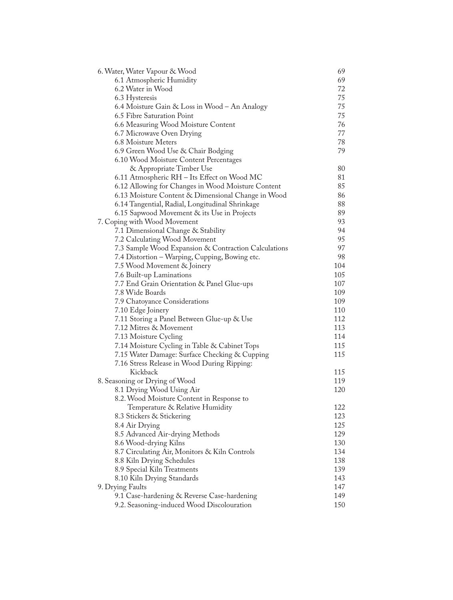| 6. Water, Water Vapour & Wood                        | 69  |
|------------------------------------------------------|-----|
| 6.1 Atmospheric Humidity                             | 69  |
| 6.2 Water in Wood                                    | 72  |
| 6.3 Hysteresis                                       | 75  |
| 6.4 Moisture Gain & Loss in Wood - An Analogy        | 75  |
| 6.5 Fibre Saturation Point                           | 75  |
| 6.6 Measuring Wood Moisture Content                  | 76  |
| 6.7 Microwave Oven Drying                            | 77  |
| 6.8 Moisture Meters                                  | 78  |
| 6.9 Green Wood Use & Chair Bodging                   | 79  |
| 6.10 Wood Moisture Content Percentages               |     |
| & Appropriate Timber Use                             | 80  |
| 6.11 Atmospheric RH - Its Effect on Wood MC          | 81  |
| 6.12 Allowing for Changes in Wood Moisture Content   | 85  |
| 6.13 Moisture Content & Dimensional Change in Wood   | 86  |
| 6.14 Tangential, Radial, Longitudinal Shrinkage      | 88  |
| 6.15 Sapwood Movement & its Use in Projects          | 89  |
| 7. Coping with Wood Movement                         | 93  |
| 7.1 Dimensional Change & Stability                   | 94  |
| 7.2 Calculating Wood Movement                        | 95  |
| 7.3 Sample Wood Expansion & Contraction Calculations | 97  |
| 7.4 Distortion - Warping, Cupping, Bowing etc.       | 98  |
| 7.5 Wood Movement & Joinery                          | 104 |
| 7.6 Built-up Laminations                             | 105 |
| 7.7 End Grain Orientation & Panel Glue-ups           | 107 |
| 7.8 Wide Boards                                      | 109 |
| 7.9 Chatoyance Considerations                        | 109 |
| 7.10 Edge Joinery                                    | 110 |
| 7.11 Storing a Panel Between Glue-up & Use           | 112 |
| 7.12 Mitres & Movement                               | 113 |
| 7.13 Moisture Cycling                                | 114 |
| 7.14 Moisture Cycling in Table & Cabinet Tops        | 115 |
| 7.15 Water Damage: Surface Checking & Cupping        | 115 |
| 7.16 Stress Release in Wood During Ripping:          |     |
| Kickback                                             | 115 |
| 8. Seasoning or Drying of Wood                       | 119 |
| 8.1 Drying Wood Using Air                            | 120 |
| 8.2. Wood Moisture Content in Response to            |     |
| Temperature & Relative Humidity                      | 122 |
| 8.3 Stickers & Stickering                            | 123 |
| 8.4 Air Drying                                       | 125 |
| 8.5 Advanced Air-drying Methods                      | 129 |
| 8.6 Wood-drying Kilns                                | 130 |
| 8.7 Circulating Air, Monitors & Kiln Controls        | 134 |
| 8.8 Kiln Drying Schedules                            | 138 |
| 8.9 Special Kiln Treatments                          | 139 |
| 8.10 Kiln Drying Standards                           | 143 |
|                                                      | 147 |
| 9. Drying Faults                                     | 149 |
| 9.1 Case-hardening & Reverse Case-hardening          | 150 |
| 9.2. Seasoning-induced Wood Discolouration           |     |